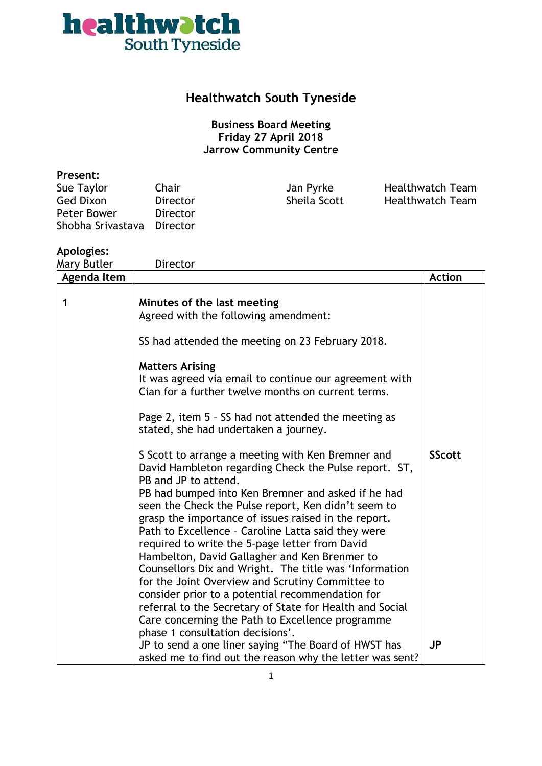

### **Healthwatch South Tyneside**

### **Business Board Meeting Friday 27 April 2018 Jarrow Community Centre**

#### **Present:**

| Sue Taylor        | Chair    |
|-------------------|----------|
| <b>Ged Dixon</b>  | Director |
| Peter Bower       | Director |
| Shobha Srivastava | Director |

Jan Pyrke Healthwatch Team Sheila Scott Healthwatch Team

### **Apologies:**

| Director                                                                                                                                                                                                                                                                                                                                                                                                                                                                                                                                                                                                                                                                                                                                                                                                                                                                                                                                                                                                                                                                                                                                                    |                                                                                                                  |
|-------------------------------------------------------------------------------------------------------------------------------------------------------------------------------------------------------------------------------------------------------------------------------------------------------------------------------------------------------------------------------------------------------------------------------------------------------------------------------------------------------------------------------------------------------------------------------------------------------------------------------------------------------------------------------------------------------------------------------------------------------------------------------------------------------------------------------------------------------------------------------------------------------------------------------------------------------------------------------------------------------------------------------------------------------------------------------------------------------------------------------------------------------------|------------------------------------------------------------------------------------------------------------------|
|                                                                                                                                                                                                                                                                                                                                                                                                                                                                                                                                                                                                                                                                                                                                                                                                                                                                                                                                                                                                                                                                                                                                                             | <b>Action</b>                                                                                                    |
| Minutes of the last meeting<br>Agreed with the following amendment:<br>SS had attended the meeting on 23 February 2018.<br><b>Matters Arising</b><br>It was agreed via email to continue our agreement with<br>Cian for a further twelve months on current terms.<br>Page 2, item 5 - SS had not attended the meeting as<br>stated, she had undertaken a journey.<br>S Scott to arrange a meeting with Ken Bremner and<br>David Hambleton regarding Check the Pulse report. ST,<br>PB and JP to attend.<br>PB had bumped into Ken Bremner and asked if he had<br>seen the Check the Pulse report, Ken didn't seem to<br>grasp the importance of issues raised in the report.<br>Path to Excellence - Caroline Latta said they were<br>required to write the 5-page letter from David<br>Hambelton, David Gallagher and Ken Brenmer to<br>Counsellors Dix and Wright. The title was 'Information<br>for the Joint Overview and Scrutiny Committee to<br>consider prior to a potential recommendation for<br>referral to the Secretary of State for Health and Social<br>Care concerning the Path to Excellence programme<br>phase 1 consultation decisions'. | <b>SScott</b>                                                                                                    |
|                                                                                                                                                                                                                                                                                                                                                                                                                                                                                                                                                                                                                                                                                                                                                                                                                                                                                                                                                                                                                                                                                                                                                             | <b>JP</b>                                                                                                        |
|                                                                                                                                                                                                                                                                                                                                                                                                                                                                                                                                                                                                                                                                                                                                                                                                                                                                                                                                                                                                                                                                                                                                                             | JP to send a one liner saying "The Board of HWST has<br>asked me to find out the reason why the letter was sent? |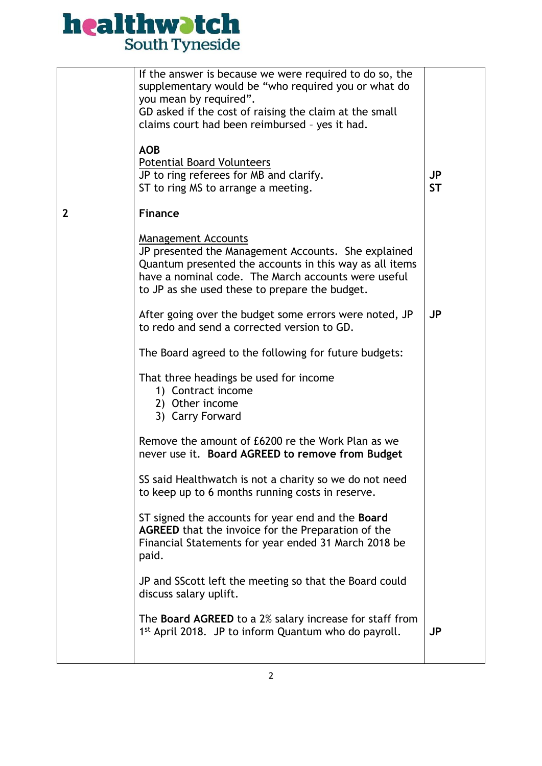# **healthwatch**<br>South Tyneside

|   | If the answer is because we were required to do so, the                          |           |
|---|----------------------------------------------------------------------------------|-----------|
|   | supplementary would be "who required you or what do<br>you mean by required".    |           |
|   | GD asked if the cost of raising the claim at the small                           |           |
|   | claims court had been reimbursed - yes it had.                                   |           |
|   |                                                                                  |           |
|   | <b>AOB</b>                                                                       |           |
|   | <b>Potential Board Volunteers</b>                                                |           |
|   | JP to ring referees for MB and clarify.                                          | <b>JP</b> |
|   | ST to ring MS to arrange a meeting.                                              | <b>ST</b> |
| 2 | <b>Finance</b>                                                                   |           |
|   |                                                                                  |           |
|   | Management Accounts<br>JP presented the Management Accounts. She explained       |           |
|   | Quantum presented the accounts in this way as all items                          |           |
|   | have a nominal code. The March accounts were useful                              |           |
|   | to JP as she used these to prepare the budget.                                   |           |
|   |                                                                                  |           |
|   | After going over the budget some errors were noted, JP                           | <b>JP</b> |
|   | to redo and send a corrected version to GD.                                      |           |
|   | The Board agreed to the following for future budgets:                            |           |
|   | That three headings be used for income                                           |           |
|   | 1) Contract income                                                               |           |
|   | 2) Other income                                                                  |           |
|   | 3) Carry Forward                                                                 |           |
|   |                                                                                  |           |
|   | Remove the amount of £6200 re the Work Plan as we                                |           |
|   | never use it. Board AGREED to remove from Budget                                 |           |
|   | SS said Healthwatch is not a charity so we do not need                           |           |
|   | to keep up to 6 months running costs in reserve.                                 |           |
|   |                                                                                  |           |
|   | ST signed the accounts for year end and the <b>Board</b>                         |           |
|   | AGREED that the invoice for the Preparation of the                               |           |
|   | Financial Statements for year ended 31 March 2018 be                             |           |
|   | paid.                                                                            |           |
|   |                                                                                  |           |
|   | JP and SScott left the meeting so that the Board could<br>discuss salary uplift. |           |
|   |                                                                                  |           |
|   | The <b>Board AGREED</b> to a 2% salary increase for staff from                   |           |
|   | 1 <sup>st</sup> April 2018. JP to inform Quantum who do payroll.                 | JP        |
|   |                                                                                  |           |
|   |                                                                                  |           |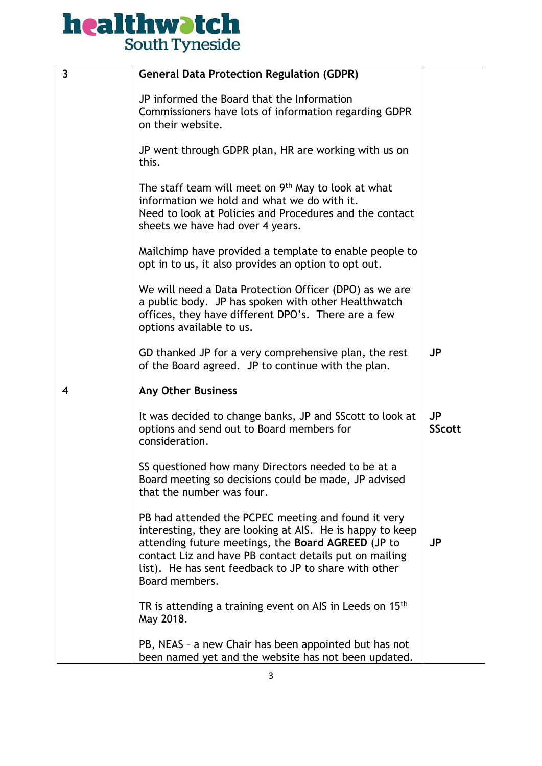# **healthwatch**<br>South Tyneside

| $\overline{\mathbf{3}}$ | <b>General Data Protection Regulation (GDPR)</b>                                                                                                                                                                                                                                                            |                            |
|-------------------------|-------------------------------------------------------------------------------------------------------------------------------------------------------------------------------------------------------------------------------------------------------------------------------------------------------------|----------------------------|
|                         | JP informed the Board that the Information<br>Commissioners have lots of information regarding GDPR<br>on their website.                                                                                                                                                                                    |                            |
|                         | JP went through GDPR plan, HR are working with us on<br>this.                                                                                                                                                                                                                                               |                            |
|                         | The staff team will meet on 9 <sup>th</sup> May to look at what<br>information we hold and what we do with it.<br>Need to look at Policies and Procedures and the contact<br>sheets we have had over 4 years.                                                                                               |                            |
|                         | Mailchimp have provided a template to enable people to<br>opt in to us, it also provides an option to opt out.                                                                                                                                                                                              |                            |
|                         | We will need a Data Protection Officer (DPO) as we are<br>a public body. JP has spoken with other Healthwatch<br>offices, they have different DPO's. There are a few<br>options available to us.                                                                                                            |                            |
|                         | GD thanked JP for a very comprehensive plan, the rest<br>of the Board agreed. JP to continue with the plan.                                                                                                                                                                                                 | <b>JP</b>                  |
| 4                       | <b>Any Other Business</b>                                                                                                                                                                                                                                                                                   |                            |
|                         | It was decided to change banks, JP and SScott to look at<br>options and send out to Board members for<br>consideration.                                                                                                                                                                                     | <b>JP</b><br><b>SScott</b> |
|                         | SS questioned how many Directors needed to be at a<br>Board meeting so decisions could be made, JP advised<br>that the number was four.                                                                                                                                                                     |                            |
|                         | PB had attended the PCPEC meeting and found it very<br>interesting, they are looking at AIS. He is happy to keep<br>attending future meetings, the Board AGREED (JP to<br>contact Liz and have PB contact details put on mailing<br>list). He has sent feedback to JP to share with other<br>Board members. | <b>JP</b>                  |
|                         | TR is attending a training event on AIS in Leeds on 15 <sup>th</sup><br>May 2018.                                                                                                                                                                                                                           |                            |
|                         | PB, NEAS - a new Chair has been appointed but has not<br>been named yet and the website has not been updated.                                                                                                                                                                                               |                            |